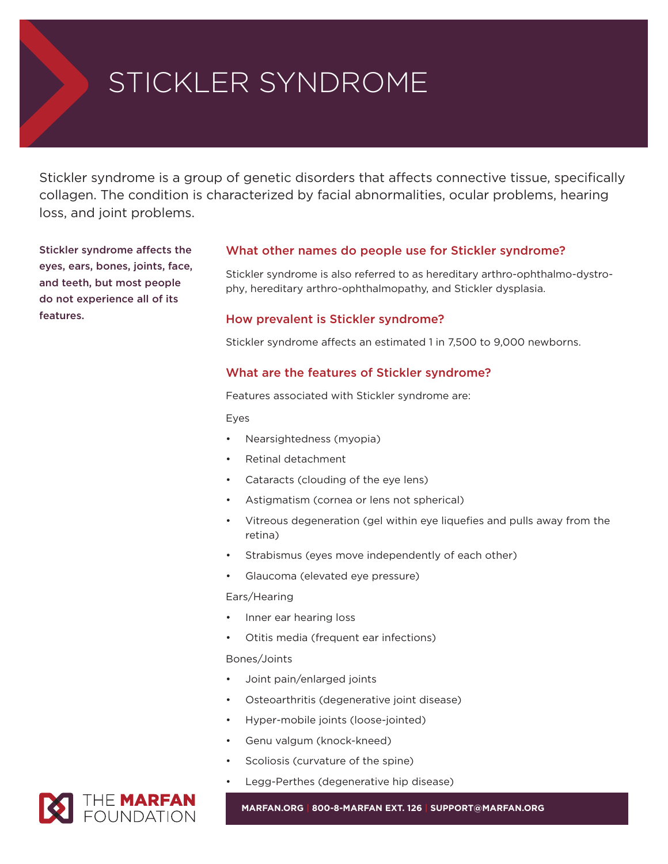# STICKLER SYNDROME

Stickler syndrome is a group of genetic disorders that affects connective tissue, specifically collagen. The condition is characterized by facial abnormalities, ocular problems, hearing loss, and joint problems.

**Stickler syndrome affects the eyes, ears, bones, joints, face, and teeth, but most people do not experience all of its features.**

### **What other names do people use for Stickler syndrome?**

Stickler syndrome is also referred to as hereditary arthro-ophthalmo-dystrophy, hereditary arthro-ophthalmopathy, and Stickler dysplasia.

#### **How prevalent is Stickler syndrome?**

Stickler syndrome affects an estimated 1 in 7,500 to 9,000 newborns.

#### **What are the features of Stickler syndrome?**

Features associated with Stickler syndrome are:

Eyes

- Nearsightedness (myopia)
- Retinal detachment
- Cataracts (clouding of the eye lens)
- Astigmatism (cornea or lens not spherical)
- Vitreous degeneration (gel within eye liquefies and pulls away from the retina)
- Strabismus (eyes move independently of each other)
- Glaucoma (elevated eye pressure)

#### Ears/Hearing

- Inner ear hearing loss
- Otitis media (frequent ear infections)

#### Bones/Joints

- Joint pain/enlarged joints
- Osteoarthritis (degenerative joint disease)
- Hyper-mobile joints (loose-jointed)
- Genu valgum (knock-kneed)
- Scoliosis (curvature of the spine)
- Legg-Perthes (degenerative hip disease)



**MARFAN.ORG | 800-8-MARFAN EXT. 126 | SUPPORT@MARFAN.ORG**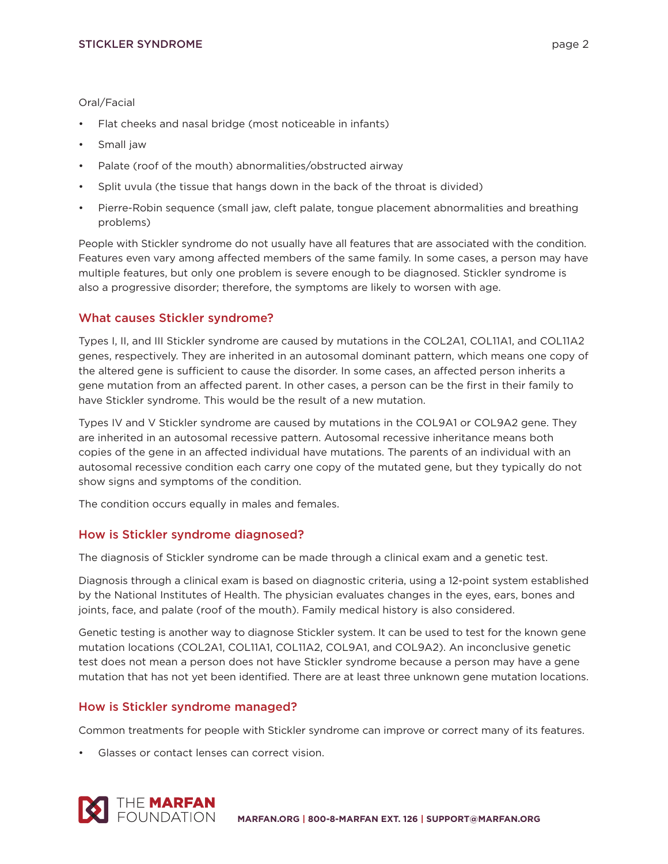#### Oral/Facial

- Flat cheeks and nasal bridge (most noticeable in infants)
- Small jaw
- Palate (roof of the mouth) abnormalities/obstructed airway
- Split uvula (the tissue that hangs down in the back of the throat is divided)
- Pierre-Robin sequence (small jaw, cleft palate, tongue placement abnormalities and breathing problems)

People with Stickler syndrome do not usually have all features that are associated with the condition. Features even vary among affected members of the same family. In some cases, a person may have multiple features, but only one problem is severe enough to be diagnosed. Stickler syndrome is also a progressive disorder; therefore, the symptoms are likely to worsen with age.

# **What causes Stickler syndrome?**

Types I, II, and III Stickler syndrome are caused by mutations in the COL2A1, COL11A1, and COL11A2 genes, respectively. They are inherited in an autosomal dominant pattern, which means one copy of the altered gene is sufficient to cause the disorder. In some cases, an affected person inherits a gene mutation from an affected parent. In other cases, a person can be the first in their family to have Stickler syndrome. This would be the result of a new mutation.

Types IV and V Stickler syndrome are caused by mutations in the COL9A1 or COL9A2 gene. They are inherited in an autosomal recessive pattern. Autosomal recessive inheritance means both copies of the gene in an affected individual have mutations. The parents of an individual with an autosomal recessive condition each carry one copy of the mutated gene, but they typically do not show signs and symptoms of the condition.

The condition occurs equally in males and females.

## **How is Stickler syndrome diagnosed?**

The diagnosis of Stickler syndrome can be made through a clinical exam and a genetic test.

Diagnosis through a clinical exam is based on diagnostic criteria, using a 12-point system established by the National Institutes of Health. The physician evaluates changes in the eyes, ears, bones and joints, face, and palate (roof of the mouth). Family medical history is also considered.

Genetic testing is another way to diagnose Stickler system. It can be used to test for the known gene mutation locations (COL2A1, COL11A1, COL11A2, COL9A1, and COL9A2). An inconclusive genetic test does not mean a person does not have Stickler syndrome because a person may have a gene mutation that has not yet been identified. There are at least three unknown gene mutation locations.

## **How is Stickler syndrome managed?**

Common treatments for people with Stickler syndrome can improve or correct many of its features.

• Glasses or contact lenses can correct vision.